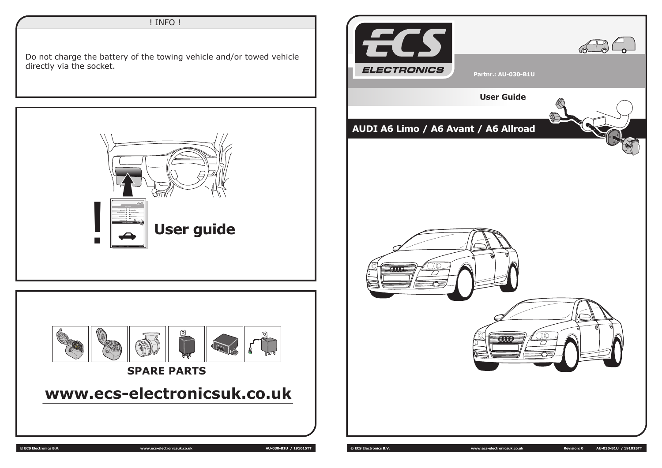## ! INFO ! Do not charge the battery of the towing vehicle and/or towed vehicle directly via the socket. **ELECTRONICS Partnr.: AU-030-B1U User Guide AUDI A6 Limo / A6 Avant / A6 AllroadManuale di istruzioni User guide SPARE PARTS www.ecs-electronicsuk.co.uk © ECS Electronics B.V. www.ecs-electronicsuk.co.uk AU-030-B1U / 191015TT © ECS Electronics B.V. www.ecs-electronicsuk.co.uk Revision: 0 AU-030-B1U / 191015TT**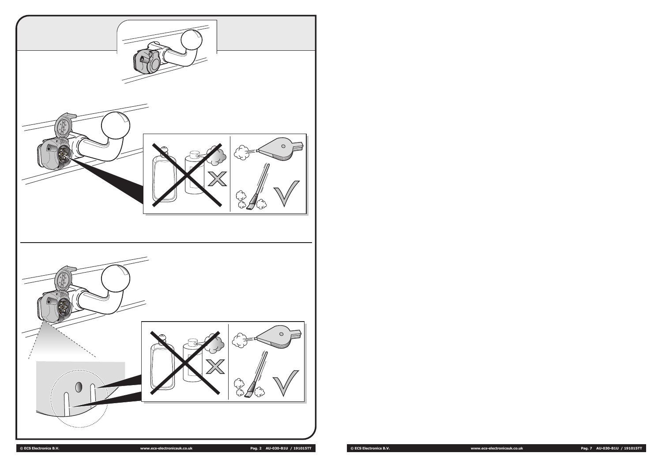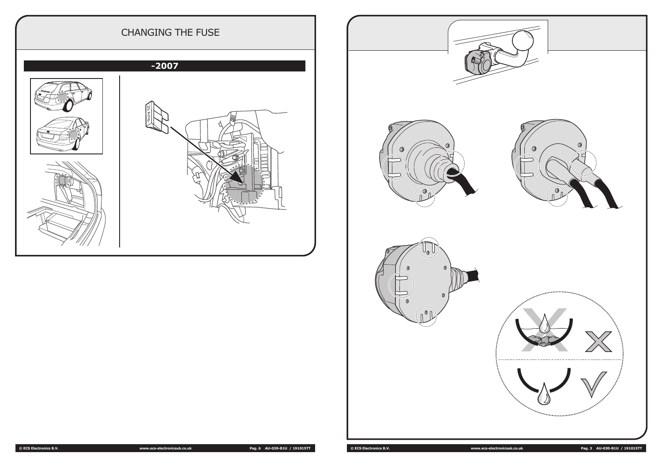